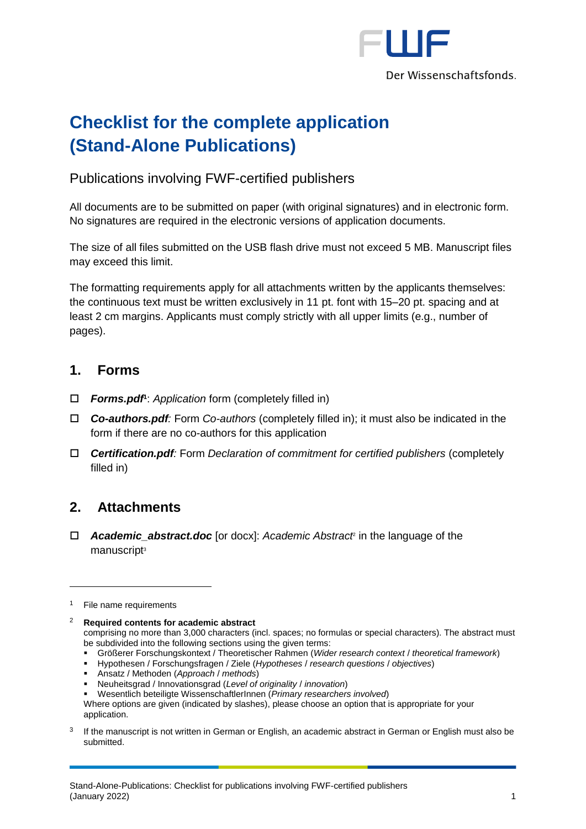

# **Checklist for the complete application (Stand-Alone Publications)**

### Publications involving FWF-certified publishers

All documents are to be submitted on paper (with original signatures) and in electronic form. No signatures are required in the electronic versions of application documents.

The size of all files submitted on the USB flash drive must not exceed 5 MB. Manuscript files may exceed this limit.

The formatting requirements apply for all attachments written by the applicants themselves: the continuous text must be written exclusively in 11 pt. font with 15–20 pt. spacing and at least 2 cm margins. Applicants must comply strictly with all upper limits (e.g., number of pages).

#### **1. Forms**

- *Forms.pdf* **1** : *Application* form (completely filled in)
- *Co-authors.pdf:* Form *Co-authors* (completely filled in); it must also be indicated in the form if there are no co-authors for this application
- *Certification.pdf:* Form *Declaration of commitment for certified publishers* (completely filled in)

## **2. Attachments**

 *Academic\_abstract.doc* [or docx]: *Academic Abstract*<sup>2</sup> in the language of the manuscript<sup>3</sup>

1

comprising no more than 3,000 characters (incl. spaces; no formulas or special characters). The abstract must be subdivided into the following sections using the given terms:

- Größerer Forschungskontext / Theoretischer Rahmen (*Wider research context* / *theoretical framework*)
- Hypothesen / Forschungsfragen / Ziele (*Hypotheses* / *research questions* / *objectives*)
- Ansatz / Methoden (*Approach* / *methods*)

3 If the manuscript is not written in German or English, an academic abstract in German or English must also be submitted.

 $1$  File name requirements

<sup>2</sup> **Required contents for academic abstract**

<sup>▪</sup> Neuheitsgrad / Innovationsgrad (*Level of originality* / *innovation*)

<sup>▪</sup> Wesentlich beteiligte WissenschaftlerInnen (*Primary researchers involved*)

Where options are given (indicated by slashes), please choose an option that is appropriate for your application.